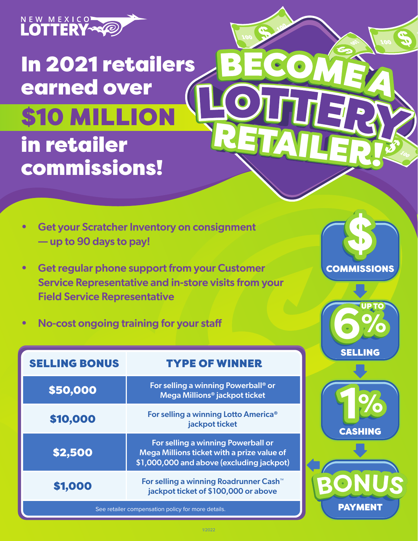

In 2021 retailers earned over in retailer commissions! \$10 MILLION

- Get your Scratcher Inventory on consignment — up to 90 days to pay!
- Get regular phone support from your Customer Service Representative and in-store visits from your Field Service Representative
- No-cost ongoing training for your staff

| <b>SELLING BONUS</b>                               | <b>TYPE OF WINNER</b>                                                                                                         |
|----------------------------------------------------|-------------------------------------------------------------------------------------------------------------------------------|
| \$50,000                                           | For selling a winning Powerball <sup>®</sup> or<br>Mega Millions <sup>®</sup> jackpot ticket                                  |
| \$10,000                                           | For selling a winning Lotto America <sup>®</sup><br>jackpot ticket                                                            |
| \$2,500                                            | For selling a winning Powerball or<br>Mega Millions ticket with a prize value of<br>\$1,000,000 and above (excluding jackpot) |
| \$1,000                                            | For selling a winning Roadrunner Cash <sup>™</sup><br>jackpot ticket of \$100,000 or above                                    |
| See retailer compensation policy for more details. |                                                                                                                               |



RETAILER!





**PAYMENT**